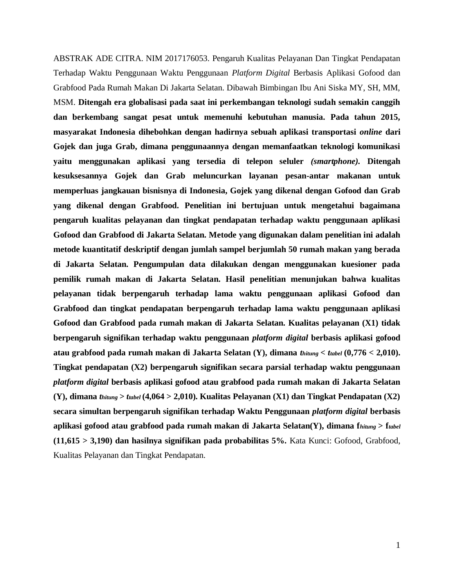ABSTRAK ADE CITRA. NIM 2017176053. Pengaruh Kualitas Pelayanan Dan Tingkat Pendapatan Terhadap Waktu Penggunaan Waktu Penggunaan *Platform Digital* Berbasis Aplikasi Gofood dan Grabfood Pada Rumah Makan Di Jakarta Selatan. Dibawah Bimbingan Ibu Ani Siska MY, SH, MM, MSM. **Ditengah era globalisasi pada saat ini perkembangan teknologi sudah semakin canggih dan berkembang sangat pesat untuk memenuhi kebutuhan manusia. Pada tahun 2015, masyarakat Indonesia dihebohkan dengan hadirnya sebuah aplikasi transportasi** *online* **dari Gojek dan juga Grab, dimana penggunaannya dengan memanfaatkan teknologi komunikasi yaitu menggunakan aplikasi yang tersedia di telepon seluler** *(smartphone).* **Ditengah kesuksesannya Gojek dan Grab meluncurkan layanan pesan-antar makanan untuk memperluas jangkauan bisnisnya di Indonesia, Gojek yang dikenal dengan Gofood dan Grab yang dikenal dengan Grabfood. Penelitian ini bertujuan untuk mengetahui bagaimana pengaruh kualitas pelayanan dan tingkat pendapatan terhadap waktu penggunaan aplikasi Gofood dan Grabfood di Jakarta Selatan. Metode yang digunakan dalam penelitian ini adalah metode kuantitatif deskriptif dengan jumlah sampel berjumlah 50 rumah makan yang berada di Jakarta Selatan. Pengumpulan data dilakukan dengan menggunakan kuesioner pada pemilik rumah makan di Jakarta Selatan. Hasil penelitian menunjukan bahwa kualitas pelayanan tidak berpengaruh terhadap lama waktu penggunaan aplikasi Gofood dan Grabfood dan tingkat pendapatan berpengaruh terhadap lama waktu penggunaan aplikasi Gofood dan Grabfood pada rumah makan di Jakarta Selatan. Kualitas pelayanan (X1) tidak berpengaruh signifikan terhadap waktu penggunaan** *platform digital* **berbasis aplikasi gofood atau grabfood pada rumah makan di Jakarta Selatan (Y), dimana** *thitung < ttabel* **(0,776 < 2,010). Tingkat pendapatan (X2) berpengaruh signifikan secara parsial terhadap waktu penggunaan**  *platform digital* **berbasis aplikasi gofood atau grabfood pada rumah makan di Jakarta Selatan (Y), dimana** *thitung > ttabel* **(4,064 > 2,010). Kualitas Pelayanan (X1) dan Tingkat Pendapatan (X2) secara simultan berpengaruh signifikan terhadap Waktu Penggunaan** *platform digital* **berbasis aplikasi gofood atau grabfood pada rumah makan di Jakarta Selatan(Y), dimana f***hitung* **> f***tabel*  **(11,615 > 3,190) dan hasilnya signifikan pada probabilitas 5%.** Kata Kunci: Gofood, Grabfood, Kualitas Pelayanan dan Tingkat Pendapatan.